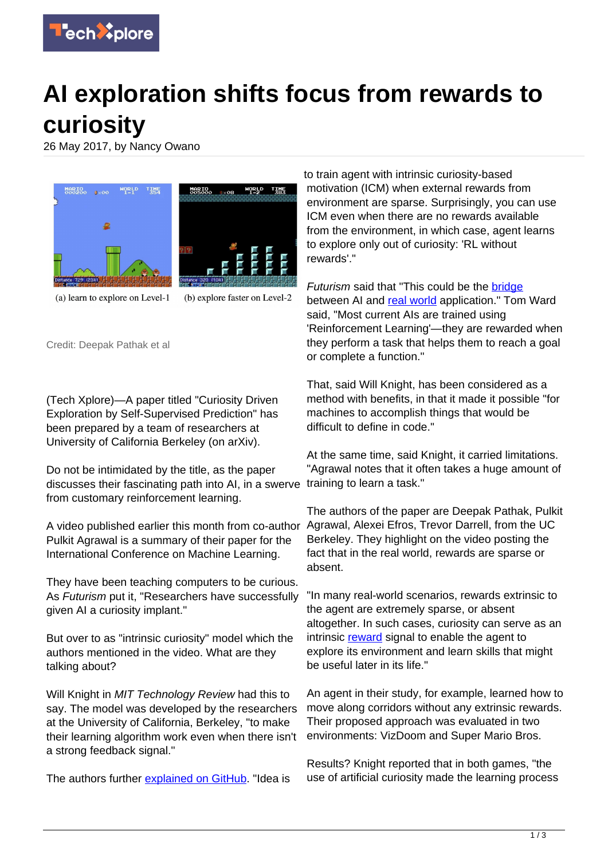

## **AI exploration shifts focus from rewards to curiosity**

26 May 2017, by Nancy Owano



(a) learn to explore on Level-1

(b) explore faster on Level-2

Credit: Deepak Pathak et al

(Tech Xplore)—A paper titled "Curiosity Driven Exploration by Self-Supervised Prediction" has been prepared by a team of researchers at University of California Berkeley (on arXiv).

Do not be intimidated by the title, as the paper discusses their fascinating path into AI, in a swerve from customary reinforcement learning.

A video published earlier this month from co-author Agrawal, Alexei Efros, Trevor Darrell, from the UC Pulkit Agrawal is a summary of their paper for the International Conference on Machine Learning.

They have been teaching computers to be curious. As Futurism put it, "Researchers have successfully given AI a curiosity implant."

But over to as "intrinsic curiosity" model which the authors mentioned in the video. What are they talking about?

Will Knight in MIT Technology Review had this to say. The model was developed by the researchers at the University of California, Berkeley, "to make their learning algorithm work even when there isn't a strong feedback signal."

The authors further [explained on GitHub.](https://github.com/pathak22/noreward-rl) "Idea is

to train agent with intrinsic curiosity-based motivation (ICM) when external rewards from environment are sparse. Surprisingly, you can use ICM even when there are no rewards available from the environment, in which case, agent learns to explore only out of curiosity: 'RL without rewards'."

Futurism said that "This could be the [bridge](https://futurism.com/researchers-have-created-an-ai-that-is-naturally-curious/)" between AI and [real world](https://techxplore.com/tags/real+world/) application." Tom Ward said, "Most current AIs are trained using 'Reinforcement Learning'—they are rewarded when they perform a task that helps them to reach a goal or complete a function."

That, said Will Knight, has been considered as a method with benefits, in that it made it possible "for machines to accomplish things that would be difficult to define in code."

At the same time, said Knight, it carried limitations. "Agrawal notes that it often takes a huge amount of training to learn a task."

The authors of the paper are Deepak Pathak, Pulkit Berkeley. They highlight on the video posting the fact that in the real world, rewards are sparse or absent.

"In many real-world scenarios, rewards extrinsic to the agent are extremely sparse, or absent altogether. In such cases, curiosity can serve as an intrinsic [reward](https://techxplore.com/tags/reward/) signal to enable the agent to explore its environment and learn skills that might be useful later in its life."

An agent in their study, for example, learned how to move along corridors without any extrinsic rewards. Their proposed approach was evaluated in two environments: VizDoom and Super Mario Bros.

Results? Knight reported that in both games, "the use of artificial curiosity made the learning process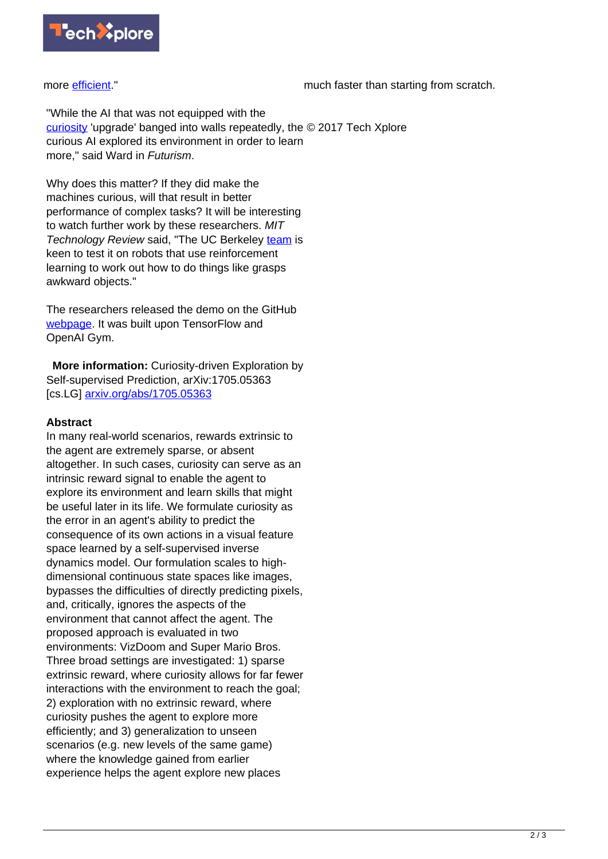

more [efficient.](https://www.technologyreview.com/s/607886/curiosity-may-be-vital-for-truly-smart-ai/#comments)"

much faster than starting from scratch.

"While the AI that was not equipped with the [curiosity](https://techxplore.com/tags/curiosity/) 'upgrade' banged into walls repeatedly, the © 2017 Tech Xplore curious AI explored its environment in order to learn more," said Ward in Futurism.

Why does this matter? If they did make the machines curious, will that result in better performance of complex tasks? It will be interesting to watch further work by these researchers. MIT Technology Review said, "The UC Berkeley [team](https://www.technologyreview.com/s/607886/curiosity-may-be-vital-for-truly-smart-ai/) is keen to test it on robots that use reinforcement learning to work out how to do things like grasps awkward objects."

The researchers released the demo on the GitHub [webpage.](https://github.com/pathak22/noreward-rl) It was built upon TensorFlow and OpenAI Gym.

 **More information:** Curiosity-driven Exploration by Self-supervised Prediction, arXiv:1705.05363 [cs.LG] [arxiv.org/abs/1705.05363](https://arxiv.org/abs/1705.05363)

## **Abstract**

In many real-world scenarios, rewards extrinsic to the agent are extremely sparse, or absent altogether. In such cases, curiosity can serve as an intrinsic reward signal to enable the agent to explore its environment and learn skills that might be useful later in its life. We formulate curiosity as the error in an agent's ability to predict the consequence of its own actions in a visual feature space learned by a self-supervised inverse dynamics model. Our formulation scales to highdimensional continuous state spaces like images, bypasses the difficulties of directly predicting pixels, and, critically, ignores the aspects of the environment that cannot affect the agent. The proposed approach is evaluated in two environments: VizDoom and Super Mario Bros. Three broad settings are investigated: 1) sparse extrinsic reward, where curiosity allows for far fewer interactions with the environment to reach the goal; 2) exploration with no extrinsic reward, where curiosity pushes the agent to explore more efficiently; and 3) generalization to unseen scenarios (e.g. new levels of the same game) where the knowledge gained from earlier experience helps the agent explore new places